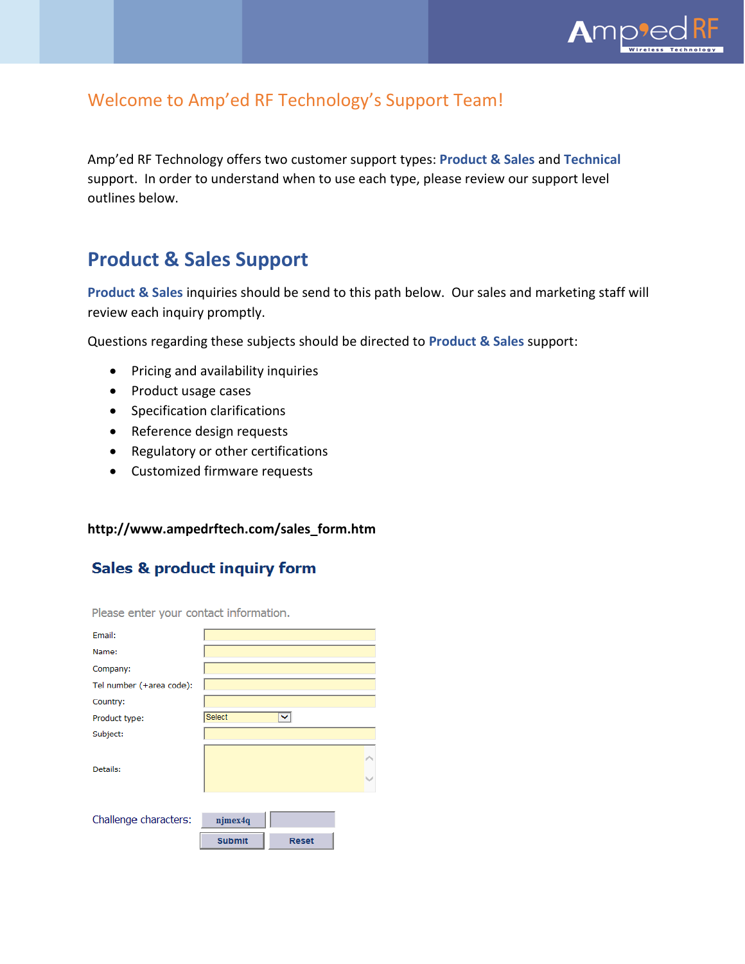

### Welcome to Amp'ed RF Technology's Support Team!

Amp'ed RF Technology offers two customer support types: **Product & Sales** and **Technical** support. In order to understand when to use each type, please review our support level outlines below.

### **Product & Sales Support**

/support\_form.html

**Product & Sales** inquiries should be send to this path below. Our sales and marketing staff will review each inquiry promptly.

Questions regarding these subjects should be directed to **Product & Sales** support:

- Pricing and availability inquiries
- Product usage cases
- Specification clarifications
- Reference design requests
- Regulatory or other certifications
- Customized firmware requests

#### **http://www.ampedrftech.com/sales\_form.htm**

### Sales & product inquiry form

Please enter your contact information.

| Email:                   |               |              |  |
|--------------------------|---------------|--------------|--|
| Name:                    |               |              |  |
| Company:                 |               |              |  |
| Tel number (+area code): |               |              |  |
| Country:                 |               |              |  |
| Product type:            | Select        | v            |  |
| Subject:                 |               |              |  |
| Details:                 |               |              |  |
| Challenge characters:    | njmex4q       |              |  |
|                          | <b>Submit</b> | <b>Reset</b> |  |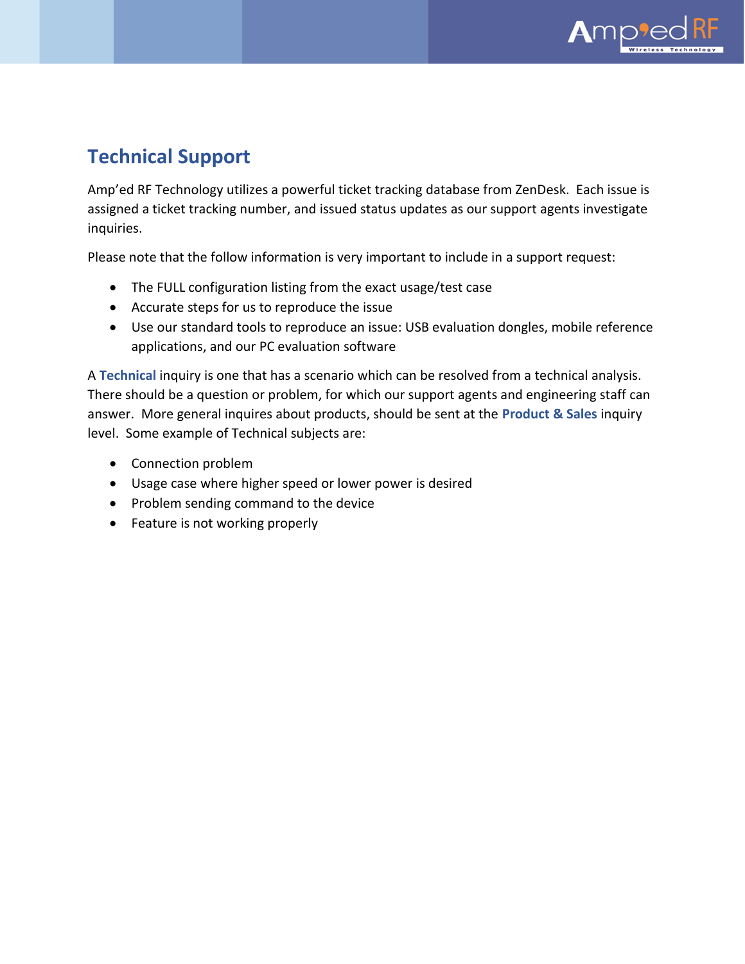

# **Technical Support**

/support\_form.html

Amp'ed RF Technology utilizes a powerful ticket tracking database from ZenDesk. Each issue is assigned a ticket tracking number, and issued status updates as our support agents investigate inquiries.

Please note that the follow information is very important to include in a support request:

- The FULL configuration listing from the exact usage/test case
- Accurate steps for us to reproduce the issue
- Use our standard tools to reproduce an issue: USB evaluation dongles, mobile reference applications, and our PC evaluation software

A **Technical** inquiry is one that has a scenario which can be resolved from a technical analysis. There should be a question or problem, for which our support agents and engineering staff can answer. More general inquires about products, should be sent at the **Product & Sales** inquiry level. Some example of Technical subjects are:

- Connection problem
- Usage case where higher speed or lower power is desired
- Problem sending command to the device
- Feature is not working properly